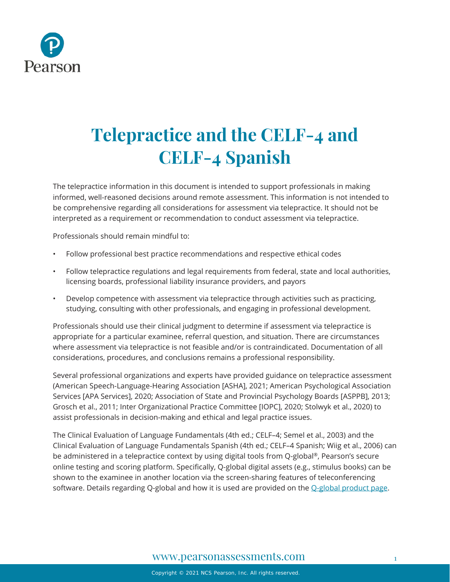

# **Telepractice and the CELF-4 and CELF-4 Spanish**

The telepractice information in this document is intended to support professionals in making informed, well-reasoned decisions around remote assessment. This information is not intended to be comprehensive regarding all considerations for assessment via telepractice. It should not be interpreted as a requirement or recommendation to conduct assessment via telepractice.

Professionals should remain mindful to:

- Follow professional best practice recommendations and respective ethical codes
- Follow telepractice regulations and legal requirements from federal, state and local authorities, licensing boards, professional liability insurance providers, and payors
- Develop competence with assessment via telepractice through activities such as practicing, studying, consulting with other professionals, and engaging in professional development.

Professionals should use their clinical judgment to determine if assessment via telepractice is appropriate for a particular examinee, referral question, and situation. There are circumstances where assessment via telepractice is not feasible and/or is contraindicated. Documentation of all considerations, procedures, and conclusions remains a professional responsibility.

Several professional organizations and experts have provided guidance on telepractice assessment (American Speech-Language-Hearing Association [ASHA], 2021; American Psychological Association Services [APA Services], 2020; Association of State and Provincial Psychology Boards [ASPPB], 2013; Grosch et al., 2011; Inter Organizational Practice Committee [IOPC], 2020; Stolwyk et al., 2020) to assist professionals in decision-making and ethical and legal practice issues.

The Clinical Evaluation of Language Fundamentals (4th ed.; CELF–4; Semel et al., 2003) and the Clinical Evaluation of Language Fundamentals Spanish (4th ed.; CELF–4 Spanish; Wiig et al., 2006) can be administered in a telepractice context by using digital tools from Q-global ®, Pearson's secure online testing and scoring platform. Specifically, Q-global digital assets (e.g., stimulus books) can be shown to the examinee in another location via the screen-sharing features of teleconferencing software. Details regarding Q-global and how it is used are provided on the [Q-global product page.](https://www.pearsonassessments.com/professional-assessments/digital-solutions/q-global/about.html)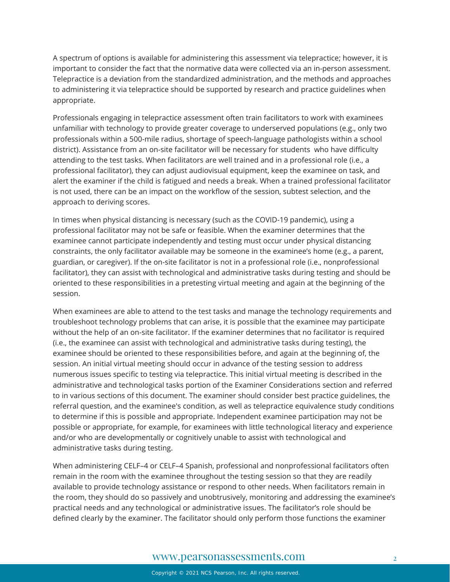A spectrum of options is available for administering this assessment via telepractice; however, it is important to consider the fact that the normative data were collected via an in-person assessment. Telepractice is a deviation from the standardized administration, and the methods and approaches to administering it via telepractice should be supported by research and practice guidelines when appropriate.

Professionals engaging in telepractice assessment often train facilitators to work with examinees unfamiliar with technology to provide greater coverage to underserved populations (e.g., only two professionals within a 500-mile radius, shortage of speech-language pathologists within a school district). Assistance from an on-site facilitator will be necessary for students who have difficulty attending to the test tasks. When facilitators are well trained and in a professional role (i.e., a professional facilitator), they can adjust audiovisual equipment, keep the examinee on task, and alert the examiner if the child is fatigued and needs a break. When a trained professional facilitator is not used, there can be an impact on the workflow of the session, subtest selection, and the approach to deriving scores.

In times when physical distancing is necessary (such as the COVID-19 pandemic), using a professional facilitator may not be safe or feasible. When the examiner determines that the examinee cannot participate independently and testing must occur under physical distancing constraints, the only facilitator available may be someone in the examinee's home (e.g., a parent, guardian, or caregiver). If the on-site facilitator is not in a professional role (i.e., nonprofessional facilitator), they can assist with technological and administrative tasks during testing and should be oriented to these responsibilities in a pretesting virtual meeting and again at the beginning of the session.

When examinees are able to attend to the test tasks and manage the technology requirements and troubleshoot technology problems that can arise, it is possible that the examinee may participate without the help of an on-site facilitator. If the examiner determines that no facilitator is required (i.e., the examinee can assist with technological and administrative tasks during testing), the examinee should be oriented to these responsibilities before, and again at the beginning of, the session. An initial virtual meeting should occur in advance of the testing session to address numerous issues specific to testing via telepractice. This initial virtual meeting is described in the administrative and technological tasks portion of the Examiner Considerations section and referred to in various sections of this document. The examiner should consider best practice guidelines, the referral question, and the examinee's condition, as well as telepractice equivalence study conditions to determine if this is possible and appropriate. Independent examinee participation may not be possible or appropriate, for example, for examinees with little technological literacy and experience and/or who are developmentally or cognitively unable to assist with technological and administrative tasks during testing.

When administering CELF–4 or CELF–4 Spanish, professional and nonprofessional facilitators often remain in the room with the examinee throughout the testing session so that they are readily available to provide technology assistance or respond to other needs. When facilitators remain in the room, they should do so passively and unobtrusively, monitoring and addressing the examinee's practical needs and any technological or administrative issues. The facilitator's role should be defined clearly by the examiner. The facilitator should only perform those functions the examiner

## [www.pearsonassessments.com](http://www.pearsonassessments.com/) 2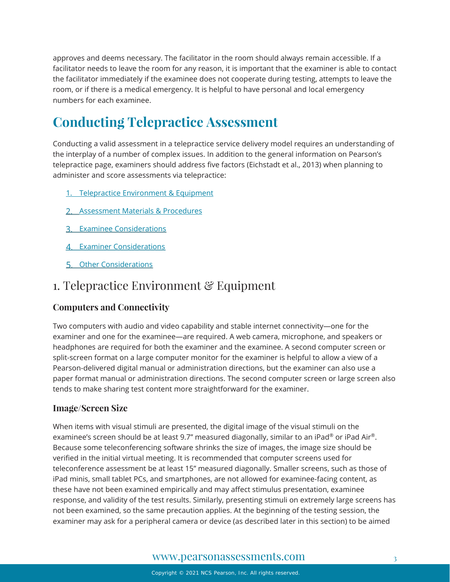approves and deems necessary. The facilitator in the room should always remain accessible. If a facilitator needs to leave the room for any reason, it is important that the examiner is able to contact the facilitator immediately if the examinee does not cooperate during testing, attempts to leave the room, or if there is a medical emergency. It is helpful to have personal and local emergency numbers for each examinee.

# **Conducting Telepractice Assessment**

Conducting a valid assessment in a telepractice service delivery model requires an understanding of the interplay of a number of complex issues. In addition to the general information on Pearson's telepractice page, examiners should address five factors (Eichstadt et al., 2013) when planning to administer and score assessments via telepractice:

- 1. [Telepractice Environment & Equipment](#page-2-0)
- [Assessment Materials & Procedures](#page-5-0)
- **3. [Examinee Considerations](#page-10-0)**
- 4. [Examiner Considerations](#page-11-0)
- [Other Considerations](#page-12-0)

## <span id="page-2-0"></span>1. Telepractice Environment & Equipment

## **Computers and Connectivity**

Two computers with audio and video capability and stable internet connectivity—one for the examiner and one for the examinee—are required. A web camera, microphone, and speakers or headphones are required for both the examiner and the examinee. A second computer screen or split-screen format on a large computer monitor for the examiner is helpful to allow a view of a Pearson-delivered digital manual or administration directions, but the examiner can also use a paper format manual or administration directions. The second computer screen or large screen also tends to make sharing test content more straightforward for the examiner.

## **Image/Screen Size**

When items with visual stimuli are presented, the digital image of the visual stimuli on the examinee's screen should be at least 9.7" measured diagonally, similar to an iPad® or iPad Air®. Because some teleconferencing software shrinks the size of images, the image size should be verified in the initial virtual meeting. It is recommended that computer screens used for teleconference assessment be at least 15" measured diagonally. Smaller screens, such as those of iPad minis, small tablet PCs, and smartphones, are not allowed for examinee-facing content, as these have not been examined empirically and may affect stimulus presentation, examinee response, and validity of the test results. Similarly, presenting stimuli on extremely large screens has not been examined, so the same precaution applies. At the beginning of the testing session, the examiner may ask for a peripheral camera or device (as described later in this section) to be aimed

## [www.pearsonassessments.com](http://www.pearsonassessments.com/) 3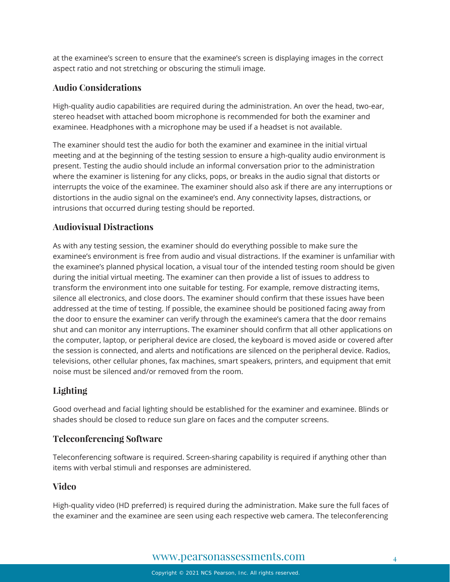at the examinee's screen to ensure that the examinee's screen is displaying images in the correct aspect ratio and not stretching or obscuring the stimuli image.

## **Audio Considerations**

High-quality audio capabilities are required during the administration. An over the head, two-ear, stereo headset with attached boom microphone is recommended for both the examiner and examinee. Headphones with a microphone may be used if a headset is not available.

The examiner should test the audio for both the examiner and examinee in the initial virtual meeting and at the beginning of the testing session to ensure a high-quality audio environment is present. Testing the audio should include an informal conversation prior to the administration where the examiner is listening for any clicks, pops, or breaks in the audio signal that distorts or interrupts the voice of the examinee. The examiner should also ask if there are any interruptions or distortions in the audio signal on the examinee's end. Any connectivity lapses, distractions, or intrusions that occurred during testing should be reported.

## **Audiovisual Distractions**

As with any testing session, the examiner should do everything possible to make sure the examinee's environment is free from audio and visual distractions. If the examiner is unfamiliar with the examinee's planned physical location, a visual tour of the intended testing room should be given during the initial virtual meeting. The examiner can then provide a list of issues to address to transform the environment into one suitable for testing. For example, remove distracting items, silence all electronics, and close doors. The examiner should confirm that these issues have been addressed at the time of testing. If possible, the examinee should be positioned facing away from the door to ensure the examiner can verify through the examinee's camera that the door remains shut and can monitor any interruptions. The examiner should confirm that all other applications on the computer, laptop, or peripheral device are closed, the keyboard is moved aside or covered after the session is connected, and alerts and notifications are silenced on the peripheral device. Radios, televisions, other cellular phones, fax machines, smart speakers, printers, and equipment that emit noise must be silenced and/or removed from the room.

## **Lighting**

Good overhead and facial lighting should be established for the examiner and examinee. Blinds or shades should be closed to reduce sun glare on faces and the computer screens.

## **Teleconferencing Software**

Teleconferencing software is required. Screen-sharing capability is required if anything other than items with verbal stimuli and responses are administered.

## **Video**

High-quality video (HD preferred) is required during the administration. Make sure the full faces of the examiner and the examinee are seen using each respective web camera. The teleconferencing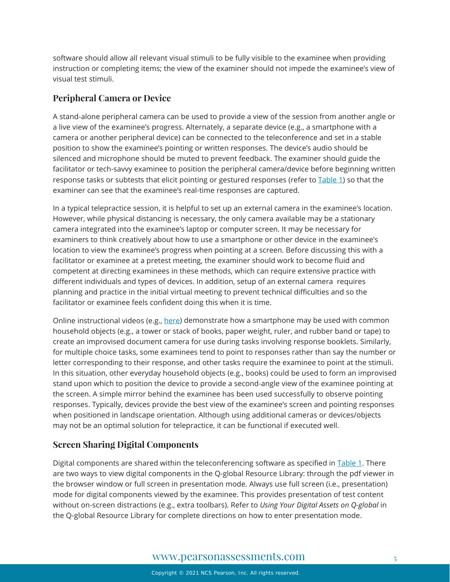software should allow all relevant visual stimuli to be fully visible to the examinee when providing instruction or completing items; the view of the examiner should not impede the examinee's view of visual test stimuli.

### **Peripheral Camera or Device**

A stand-alone peripheral camera can be used to provide a view of the session from another angle or a live view of the examinee's progress. Alternately, a separate device (e.g., a smartphone with a camera or another peripheral device) can be connected to the teleconference and set in a stable position to show the examinee's pointing or written responses. The device's audio should be silenced and microphone should be muted to prevent feedback. The examiner should guide the facilitator or tech-savvy examinee to position the peripheral camera/device before beginning written response tasks or subtests that elicit pointing or gestured responses (refer to [Table 1\)](#page-6-0) so that the examiner can see that the examinee's real-time responses are captured.

In a typical telepractice session, it is helpful to set up an external camera in the examinee's location. However, while physical distancing is necessary, the only camera available may be a stationary camera integrated into the examinee's laptop or computer screen. It may be necessary for examiners to think creatively about how to use a smartphone or other device in the examinee's location to view the examinee's progress when pointing at a screen. Before discussing this with a facilitator or examinee at a pretest meeting, the examiner should work to become fluid and competent at directing examinees in these methods, which can require extensive practice with different individuals and types of devices. In addition, setup of an external camera requires planning and practice in the initial virtual meeting to prevent technical difficulties and so the facilitator or examinee feels confident doing this when it is time.

Online instructional videos (e.g., [here\)](https://www.youtube.com/watch?v=yuhY0rjqQw0) demonstrate how a smartphone may be used with common household objects (e.g., a tower or stack of books, paper weight, ruler, and rubber band or tape) to create an improvised document camera for use during tasks involving response booklets. Similarly, for multiple choice tasks, some examinees tend to point to responses rather than say the number or letter corresponding to their response, and other tasks require the examinee to point at the stimuli. In this situation, other everyday household objects (e.g., books) could be used to form an improvised stand upon which to position the device to provide a second-angle view of the examinee pointing at the screen. A simple mirror behind the examinee has been used successfully to observe pointing responses. Typically, devices provide the best view of the examinee's screen and pointing responses when positioned in landscape orientation. Although using additional cameras or devices/objects may not be an optimal solution for telepractice, it can be functional if executed well.

## **Screen Sharing Digital Components**

Digital components are shared within the teleconferencing software as specified in [Table 1.](#page-6-0) There are two ways to view digital components in the Q-global Resource Library: through the pdf viewer in the browser window or full screen in presentation mode. Always use full screen (i.e., presentation) mode for digital components viewed by the examinee. This provides presentation of test content without on-screen distractions (e.g., extra toolbars). Refer to *Using Your Digital Assets on Q-global* in the Q-global Resource Library for complete directions on how to enter presentation mode.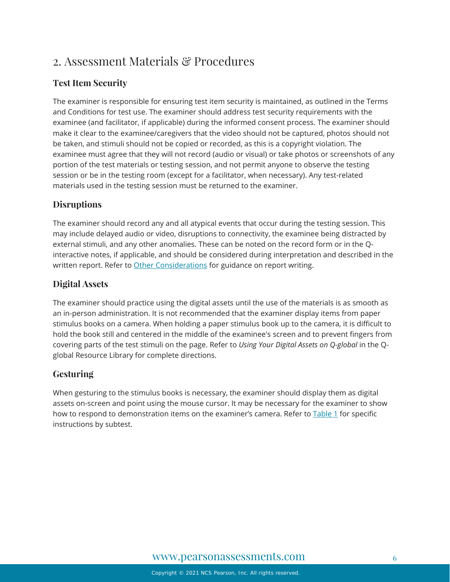# <span id="page-5-0"></span>2. Assessment Materials & Procedures

## **Test Item Security**

The examiner is responsible for ensuring test item security is maintained, as outlined in the Terms and Conditions for test use. The examiner should address test security requirements with the examinee (and facilitator, if applicable) during the informed consent process. The examiner should make it clear to the examinee/caregivers that the video should not be captured, photos should not be taken, and stimuli should not be copied or recorded, as this is a copyright violation. The examinee must agree that they will not record (audio or visual) or take photos or screenshots of any portion of the test materials or testing session, and not permit anyone to observe the testing session or be in the testing room (except for a facilitator, when necessary). Any test-related materials used in the testing session must be returned to the examiner.

## **Disruptions**

The examiner should record any and all atypical events that occur during the testing session. This may include delayed audio or video, disruptions to connectivity, the examinee being distracted by external stimuli, and any other anomalies. These can be noted on the record form or in the Qinteractive notes, if applicable, and should be considered during interpretation and described in the written report. Refer to [Other Considerations](#page-12-0) for guidance on report writing.

## **Digital Assets**

The examiner should practice using the digital assets until the use of the materials is as smooth as an in-person administration. It is not recommended that the examiner display items from paper stimulus books on a camera. When holding a paper stimulus book up to the camera, it is difficult to hold the book still and centered in the middle of the examinee's screen and to prevent fingers from covering parts of the test stimuli on the page. Refer to *Using Your Digital Assets on Q-global* in the Qglobal Resource Library for complete directions.

## **Gesturing**

When gesturing to the stimulus books is necessary, the examiner should display them as digital assets on-screen and point using the mouse cursor. It may be necessary for the examiner to show how to respond to demonstration items on the examiner's camera. Refer to **Table 1** for specific instructions by subtest.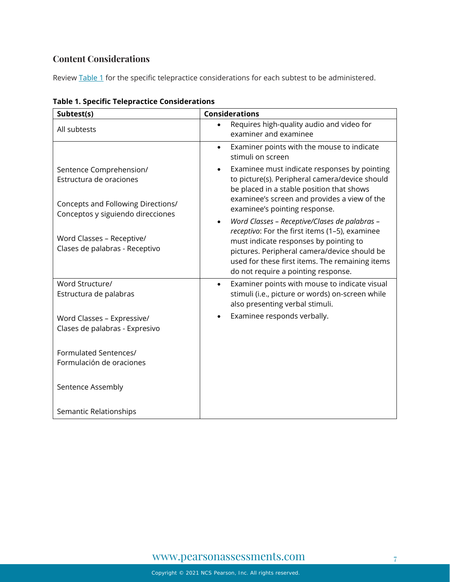## **Content Considerations**

Review [Table 1](#page-6-0) for the specific telepractice considerations for each subtest to be administered.

| Subtest(s)                                                                                                                                                                                   | <b>Considerations</b>                                                                                                                                                                                                                                                                                                                                                                                                                                                                                                            |  |  |
|----------------------------------------------------------------------------------------------------------------------------------------------------------------------------------------------|----------------------------------------------------------------------------------------------------------------------------------------------------------------------------------------------------------------------------------------------------------------------------------------------------------------------------------------------------------------------------------------------------------------------------------------------------------------------------------------------------------------------------------|--|--|
| All subtests                                                                                                                                                                                 | Requires high-quality audio and video for<br>examiner and examinee                                                                                                                                                                                                                                                                                                                                                                                                                                                               |  |  |
|                                                                                                                                                                                              | Examiner points with the mouse to indicate<br>stimuli on screen                                                                                                                                                                                                                                                                                                                                                                                                                                                                  |  |  |
| Sentence Comprehension/<br>Estructura de oraciones<br>Concepts and Following Directions/<br>Conceptos y siguiendo direcciones<br>Word Classes - Receptive/<br>Clases de palabras - Receptivo | Examinee must indicate responses by pointing<br>to picture(s). Peripheral camera/device should<br>be placed in a stable position that shows<br>examinee's screen and provides a view of the<br>examinee's pointing response.<br>Word Classes - Receptive/Clases de palabras -<br>$\bullet$<br>receptivo: For the first items (1-5), examinee<br>must indicate responses by pointing to<br>pictures. Peripheral camera/device should be<br>used for these first items. The remaining items<br>do not require a pointing response. |  |  |
| Word Structure/<br>Estructura de palabras                                                                                                                                                    | Examiner points with mouse to indicate visual<br>$\bullet$<br>stimuli (i.e., picture or words) on-screen while<br>also presenting verbal stimuli.                                                                                                                                                                                                                                                                                                                                                                                |  |  |
| Word Classes - Expressive/<br>Clases de palabras - Expresivo                                                                                                                                 | Examinee responds verbally.                                                                                                                                                                                                                                                                                                                                                                                                                                                                                                      |  |  |
| Formulated Sentences/<br>Formulación de oraciones                                                                                                                                            |                                                                                                                                                                                                                                                                                                                                                                                                                                                                                                                                  |  |  |
| Sentence Assembly                                                                                                                                                                            |                                                                                                                                                                                                                                                                                                                                                                                                                                                                                                                                  |  |  |
| Semantic Relationships                                                                                                                                                                       |                                                                                                                                                                                                                                                                                                                                                                                                                                                                                                                                  |  |  |

<span id="page-6-0"></span>**Table 1. Specific Telepractice Considerations**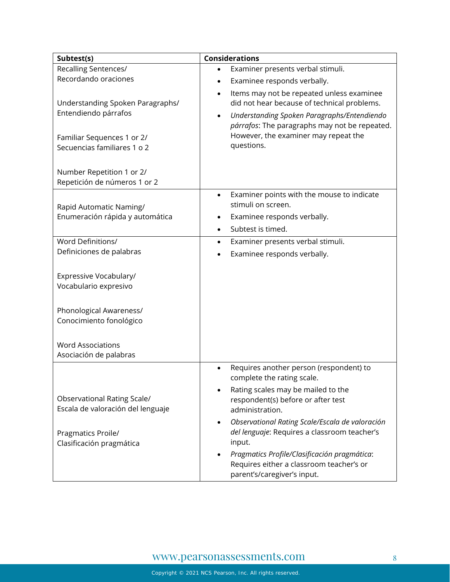| Subtest(s)                                                              | <b>Considerations</b>                                                                                                                                                                                              |
|-------------------------------------------------------------------------|--------------------------------------------------------------------------------------------------------------------------------------------------------------------------------------------------------------------|
| Recalling Sentences/                                                    | Examiner presents verbal stimuli.<br>$\bullet$                                                                                                                                                                     |
| Recordando oraciones                                                    | Examinee responds verbally.<br>٠                                                                                                                                                                                   |
| Understanding Spoken Paragraphs/<br>Entendiendo párrafos                | Items may not be repeated unless examinee<br>$\bullet$<br>did not hear because of technical problems.<br>Understanding Spoken Paragraphs/Entendiendo<br>$\bullet$<br>párrafos: The paragraphs may not be repeated. |
| Familiar Sequences 1 or 2/<br>Secuencias familiares 1 o 2               | However, the examiner may repeat the<br>questions.                                                                                                                                                                 |
| Number Repetition 1 or 2/<br>Repetición de números 1 or 2               |                                                                                                                                                                                                                    |
| Rapid Automatic Naming/                                                 | Examiner points with the mouse to indicate<br>$\bullet$<br>stimuli on screen.                                                                                                                                      |
| Enumeración rápida y automática                                         | Examinee responds verbally.<br>$\bullet$                                                                                                                                                                           |
|                                                                         | Subtest is timed.<br>$\bullet$                                                                                                                                                                                     |
| Word Definitions/                                                       | Examiner presents verbal stimuli.<br>$\bullet$                                                                                                                                                                     |
| Definiciones de palabras                                                | Examinee responds verbally.                                                                                                                                                                                        |
| Expressive Vocabulary/<br>Vocabulario expresivo                         |                                                                                                                                                                                                                    |
| Phonological Awareness/                                                 |                                                                                                                                                                                                                    |
| Conocimiento fonológico                                                 |                                                                                                                                                                                                                    |
| <b>Word Associations</b><br>Asociación de palabras                      |                                                                                                                                                                                                                    |
|                                                                         | Requires another person (respondent) to<br>$\bullet$<br>complete the rating scale.                                                                                                                                 |
| <b>Observational Rating Scale/</b><br>Escala de valoración del lenguaje | Rating scales may be mailed to the<br>respondent(s) before or after test<br>administration.                                                                                                                        |
| Pragmatics Proile/<br>Clasificación pragmática                          | Observational Rating Scale/Escala de valoración<br>del lenguaje: Requires a classroom teacher's<br>input.                                                                                                          |
|                                                                         | Pragmatics Profile/Clasificación pragmática:<br>Requires either a classroom teacher's or<br>parent's/caregiver's input.                                                                                            |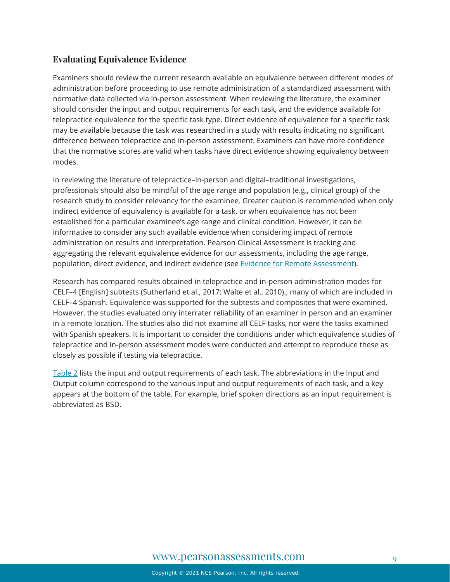## **Evaluating Equivalence Evidence**

Examiners should review the current research available on equivalence between different modes of administration before proceeding to use remote administration of a standardized assessment with normative data collected via in-person assessment. When reviewing the literature, the examiner should consider the input and output requirements for each task, and the evidence available for telepractice equivalence for the specific task type. Direct evidence of equivalence for a specific task may be available because the task was researched in a study with results indicating no significant difference between telepractice and in-person assessment. Examiners can have more confidence that the normative scores are valid when tasks have direct evidence showing equivalency between modes.

In reviewing the literature of telepractice–in-person and digital–traditional investigations, professionals should also be mindful of the age range and population (e.g., clinical group) of the research study to consider relevancy for the examinee. Greater caution is recommended when only indirect evidence of equivalency is available for a task, or when equivalence has not been established for a particular examinee's age range and clinical condition. However, it can be informative to consider any such available evidence when considering impact of remote administration on results and interpretation. Pearson Clinical Assessment is tracking and aggregating the relevant equivalence evidence for our assessments, including the age range, population, direct evidence, and indirect evidence (see [Evidence for Remote Assessment\)](https://www.pearsonassessments.com/content/dam/school/global/clinical/us/assets/telepractice/equivalence-evidence-for-remote-assessment.pdf).

Research has compared results obtained in telepractice and in-person administration modes for CELF–4 [English] subtests (Sutherland et al., 2017; Waite et al., 2010)., many of which are included in CELF–4 Spanish. Equivalence was supported for the subtests and composites that were examined. However, the studies evaluated only interrater reliability of an examiner in person and an examiner in a remote location. The studies also did not examine all CELF tasks, nor were the tasks examined with Spanish speakers. It is important to consider the conditions under which equivalence studies of telepractice and in-person assessment modes were conducted and attempt to reproduce these as closely as possible if testing via telepractice.

<span id="page-8-0"></span>[Table 2](#page-8-0) lists the input and output requirements of each task. The abbreviations in the Input and Output column correspond to the various input and output requirements of each task, and a key appears at the bottom of the table. For example, brief spoken directions as an input requirement is abbreviated as BSD.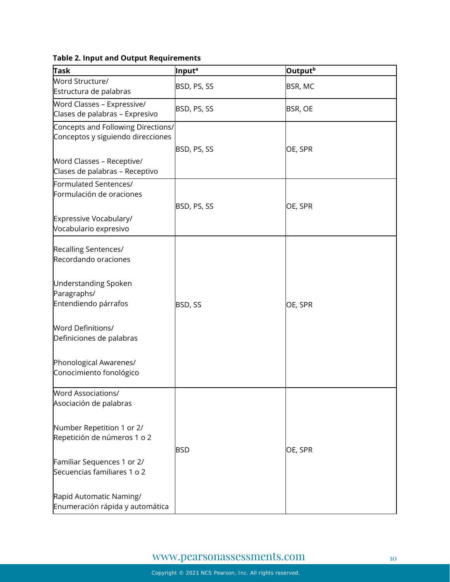## **Table 2. Input and Output Requirements**

| <b>Task</b>                        | Input <sup>a</sup> | Output <sup>b</sup> |
|------------------------------------|--------------------|---------------------|
| Word Structure/                    |                    |                     |
| Estructura de palabras             | BSD, PS, SS        | BSR, MC             |
| Word Classes - Expressive/         |                    |                     |
| Clases de palabras - Expresivo     | BSD, PS, SS        | BSR, OE             |
| Concepts and Following Directions/ |                    |                     |
| Conceptos y siguiendo direcciones  |                    |                     |
|                                    | BSD, PS, SS        | OE, SPR             |
| Word Classes - Receptive/          |                    |                     |
| Clases de palabras - Receptivo     |                    |                     |
| Formulated Sentences/              |                    |                     |
| Formulación de oraciones           |                    |                     |
|                                    | BSD, PS, SS        | OE, SPR             |
| Expressive Vocabulary/             |                    |                     |
| Vocabulario expresivo              |                    |                     |
|                                    |                    |                     |
| Recalling Sentences/               |                    |                     |
| Recordando oraciones               |                    |                     |
|                                    |                    |                     |
| <b>Understanding Spoken</b>        |                    |                     |
| Paragraphs/                        |                    |                     |
| Entendiendo párrafos               | BSD, SS            | OE, SPR             |
|                                    |                    |                     |
| <b>Word Definitions/</b>           |                    |                     |
| Definiciones de palabras           |                    |                     |
|                                    |                    |                     |
| Phonological Awarenes/             |                    |                     |
| Conocimiento fonológico            |                    |                     |
|                                    |                    |                     |
| Word Associations/                 |                    |                     |
| Asociación de palabras             |                    |                     |
|                                    |                    |                     |
| Number Repetition 1 or 2/          |                    |                     |
| Repetición de números 1 o 2        |                    |                     |
|                                    | <b>BSD</b>         | OE, SPR             |
| Familiar Sequences 1 or 2/         |                    |                     |
| Secuencias familiares 1 o 2        |                    |                     |
|                                    |                    |                     |
| Rapid Automatic Naming/            |                    |                     |
| Enumeración rápida y automática    |                    |                     |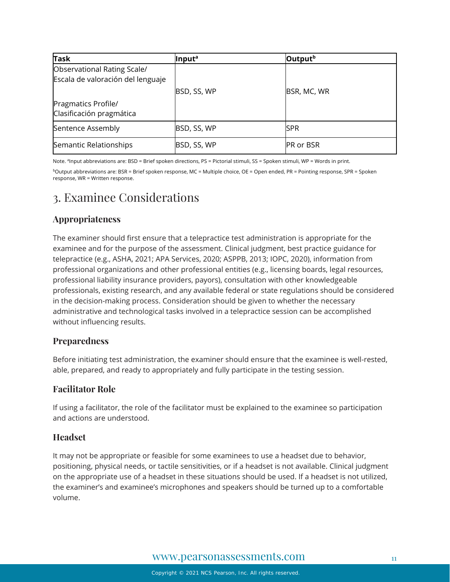| Task                                                             | Input <sup>a</sup> | Output <sup>b</sup> |
|------------------------------------------------------------------|--------------------|---------------------|
| Observational Rating Scale/<br>Escala de valoración del lenguaje | BSD, SS, WP        | BSR, MC, WR         |
| Pragmatics Profile/<br>Clasificación pragmática                  |                    |                     |
| Sentence Assembly                                                | BSD, SS, WP        | ISPR                |
| Semantic Relationships                                           | BSD, SS, WP        | <b>PR or BSR</b>    |

Note. <sup>a</sup>Input abbreviations are: BSD = Brief spoken directions, PS = Pictorial stimuli, SS = Spoken stimuli, WP = Words in print.

bOutput abbreviations are: BSR = Brief spoken response, MC = Multiple choice, OE = Open ended, PR = Pointing response, SPR = Spoken response, WR = Written response.

# <span id="page-10-0"></span>3. Examinee Considerations

## **Appropriateness**

The examiner should first ensure that a telepractice test administration is appropriate for the examinee and for the purpose of the assessment. Clinical judgment, best practice guidance for telepractice (e.g., ASHA, 2021; APA Services, 2020; ASPPB, 2013; IOPC, 2020), information from professional organizations and other professional entities (e.g., licensing boards, legal resources, professional liability insurance providers, payors), consultation with other knowledgeable professionals, existing research, and any available federal or state regulations should be considered in the decision-making process. Consideration should be given to whether the necessary administrative and technological tasks involved in a telepractice session can be accomplished without influencing results.

## **Preparedness**

Before initiating test administration, the examiner should ensure that the examinee is well-rested, able, prepared, and ready to appropriately and fully participate in the testing session.

## **Facilitator Role**

If using a facilitator, the role of the facilitator must be explained to the examinee so participation and actions are understood.

## **Headset**

It may not be appropriate or feasible for some examinees to use a headset due to behavior, positioning, physical needs, or tactile sensitivities, or if a headset is not available. Clinical judgment on the appropriate use of a headset in these situations should be used. If a headset is not utilized, the examiner's and examinee's microphones and speakers should be turned up to a comfortable volume.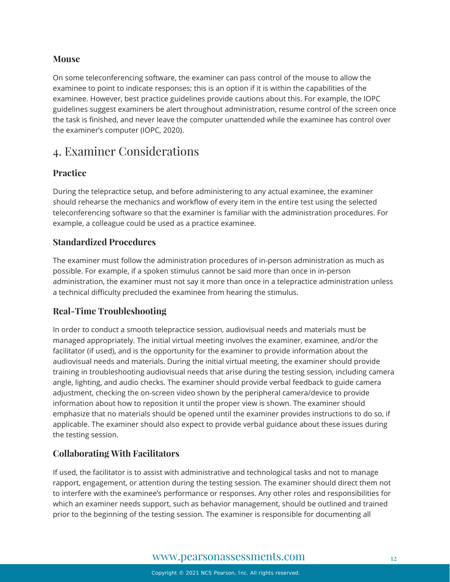### **Mouse**

On some teleconferencing software, the examiner can pass control of the mouse to allow the examinee to point to indicate responses; this is an option if it is within the capabilities of the examinee. However, best practice guidelines provide cautions about this. For example, the IOPC guidelines suggest examiners be alert throughout administration, resume control of the screen once the task is finished, and never leave the computer unattended while the examinee has control over the examiner's computer (IOPC, 2020).

# <span id="page-11-0"></span>4. Examiner Considerations

## **Practice**

During the telepractice setup, and before administering to any actual examinee, the examiner should rehearse the mechanics and workflow of every item in the entire test using the selected teleconferencing software so that the examiner is familiar with the administration procedures. For example, a colleague could be used as a practice examinee.

## **Standardized Procedures**

The examiner must follow the administration procedures of in-person administration as much as possible. For example, if a spoken stimulus cannot be said more than once in in-person administration, the examiner must not say it more than once in a telepractice administration unless a technical difficulty precluded the examinee from hearing the stimulus.

## **Real-Time Troubleshooting**

In order to conduct a smooth telepractice session, audiovisual needs and materials must be managed appropriately. The initial virtual meeting involves the examiner, examinee, and/or the facilitator (if used), and is the opportunity for the examiner to provide information about the audiovisual needs and materials. During the initial virtual meeting, the examiner should provide training in troubleshooting audiovisual needs that arise during the testing session, including camera angle, lighting, and audio checks. The examiner should provide verbal feedback to guide camera adjustment, checking the on-screen video shown by the peripheral camera/device to provide information about how to reposition it until the proper view is shown. The examiner should emphasize that no materials should be opened until the examiner provides instructions to do so, if applicable. The examiner should also expect to provide verbal guidance about these issues during the testing session.

## **Collaborating With Facilitators**

If used, the facilitator is to assist with administrative and technological tasks and not to manage rapport, engagement, or attention during the testing session. The examiner should direct them not to interfere with the examinee's performance or responses. Any other roles and responsibilities for which an examiner needs support, such as behavior management, should be outlined and trained prior to the beginning of the testing session. The examiner is responsible for documenting all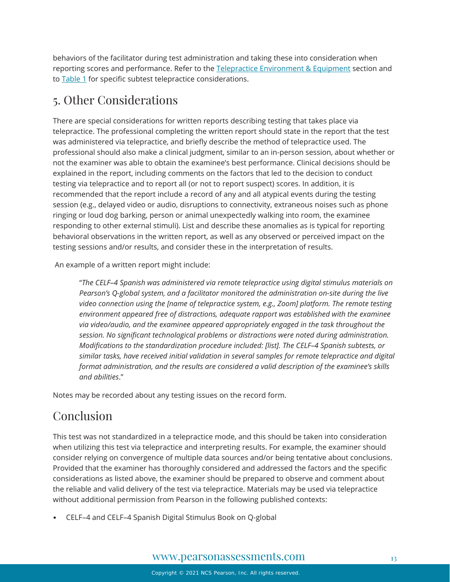behaviors of the facilitator during test administration and taking these into consideration when reporting scores and performance. Refer to th[e Telepractice Environment & Equipment](#page-2-0) section and to [Table 1](#page-6-0) for specific subtest telepractice considerations.

# <span id="page-12-0"></span>5. Other Considerations

There are special considerations for written reports describing testing that takes place via telepractice. The professional completing the written report should state in the report that the test was administered via telepractice, and briefly describe the method of telepractice used. The professional should also make a clinical judgment, similar to an in-person session, about whether or not the examiner was able to obtain the examinee's best performance. Clinical decisions should be explained in the report, including comments on the factors that led to the decision to conduct testing via telepractice and to report all (or not to report suspect) scores. In addition, it is recommended that the report include a record of any and all atypical events during the testing session (e.g., delayed video or audio, disruptions to connectivity, extraneous noises such as phone ringing or loud dog barking, person or animal unexpectedly walking into room, the examinee responding to other external stimuli). List and describe these anomalies as is typical for reporting behavioral observations in the written report, as well as any observed or perceived impact on the testing sessions and/or results, and consider these in the interpretation of results.

An example of a written report might include:

"*The CELF–4 Spanish was administered via remote telepractice using digital stimulus materials on Pearson's Q-global system, and a facilitator monitored the administration on-site during the live video connection using the [name of telepractice system, e.g., Zoom] platform. The remote testing environment appeared free of distractions, adequate rapport was established with the examinee via video/audio, and the examinee appeared appropriately engaged in the task throughout the session. No significant technological problems or distractions were noted during administration. Modifications to the standardization procedure included: [list]. The CELF–4 Spanish subtests, or similar tasks, have received initial validation in several samples for remote telepractice and digital format administration, and the results are considered a valid description of the examinee's skills and abilities*."

Notes may be recorded about any testing issues on the record form.

# Conclusion

This test was not standardized in a telepractice mode, and this should be taken into consideration when utilizing this test via telepractice and interpreting results. For example, the examiner should consider relying on convergence of multiple data sources and/or being tentative about conclusions. Provided that the examiner has thoroughly considered and addressed the factors and the specific considerations as listed above, the examiner should be prepared to observe and comment about the reliable and valid delivery of the test via telepractice. Materials may be used via telepractice without additional permission from Pearson in the following published contexts:

• CELF–4 and CELF–4 Spanish Digital Stimulus Book on Q-global